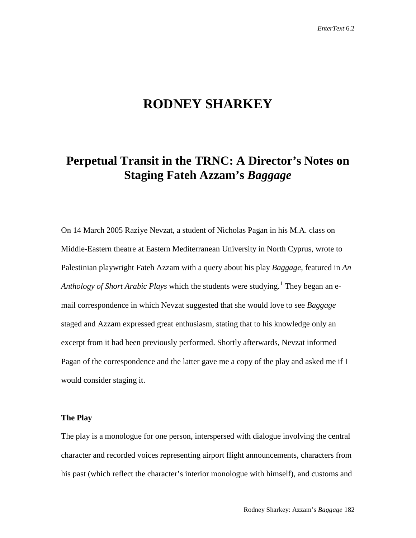# **RODNEY SHARKEY**

## **Perpetual Transit in the TRNC: A Director's Notes on Staging Fateh Azzam's** *Baggage*

On 14 March 2005 Raziye Nevzat, a student of Nicholas Pagan in his M.A. class on Middle-Eastern theatre at Eastern Mediterranean University in North Cyprus, wrote to Palestinian playwright Fateh Azzam with a query about his play *Baggage,* featured in *An Anthology of Short Arabic Plays* which the students were studying.<sup>[1](#page-3-0)</sup> They began an email correspondence in which Nevzat suggested that she would love to see *Baggage* staged and Azzam expressed great enthusiasm, stating that to his knowledge only an excerpt from it had been previously performed. Shortly afterwards, Nevzat informed Pagan of the correspondence and the latter gave me a copy of the play and asked me if I would consider staging it.

#### **The Play**

The play is a monologue for one person, interspersed with dialogue involving the central character and recorded voices representing airport flight announcements, characters from his past (which reflect the character's interior monologue with himself), and customs and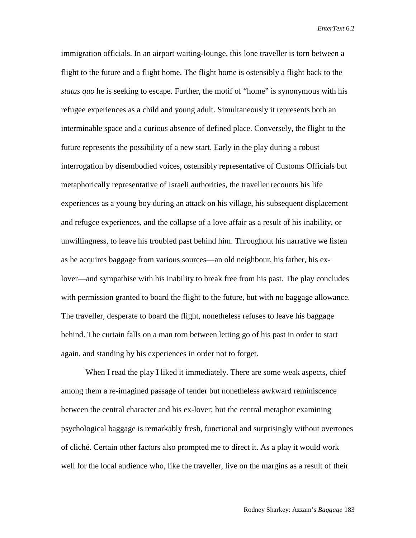immigration officials. In an airport waiting-lounge, this lone traveller is torn between a flight to the future and a flight home. The flight home is ostensibly a flight back to the *status quo* he is seeking to escape. Further, the motif of "home" is synonymous with his refugee experiences as a child and young adult. Simultaneously it represents both an interminable space and a curious absence of defined place. Conversely, the flight to the future represents the possibility of a new start. Early in the play during a robust interrogation by disembodied voices, ostensibly representative of Customs Officials but metaphorically representative of Israeli authorities, the traveller recounts his life experiences as a young boy during an attack on his village, his subsequent displacement and refugee experiences, and the collapse of a love affair as a result of his inability, or unwillingness, to leave his troubled past behind him. Throughout his narrative we listen as he acquires baggage from various sources—an old neighbour, his father, his exlover—and sympathise with his inability to break free from his past. The play concludes with permission granted to board the flight to the future, but with no baggage allowance. The traveller, desperate to board the flight, nonetheless refuses to leave his baggage behind. The curtain falls on a man torn between letting go of his past in order to start again, and standing by his experiences in order not to forget.

When I read the play I liked it immediately. There are some weak aspects, chief among them a re-imagined passage of tender but nonetheless awkward reminiscence between the central character and his ex-lover; but the central metaphor examining psychological baggage is remarkably fresh, functional and surprisingly without overtones of cliché. Certain other factors also prompted me to direct it. As a play it would work well for the local audience who, like the traveller, live on the margins as a result of their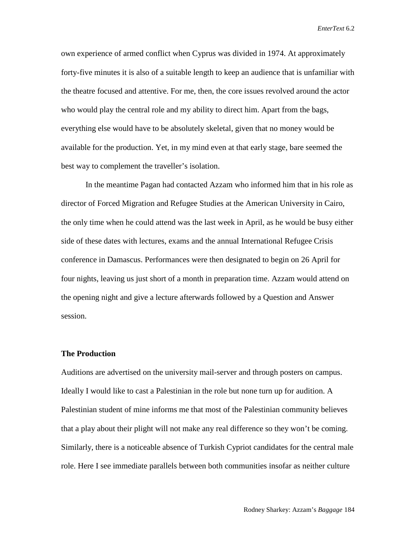own experience of armed conflict when Cyprus was divided in 1974. At approximately forty-five minutes it is also of a suitable length to keep an audience that is unfamiliar with the theatre focused and attentive. For me, then, the core issues revolved around the actor who would play the central role and my ability to direct him. Apart from the bags, everything else would have to be absolutely skeletal, given that no money would be available for the production. Yet, in my mind even at that early stage, bare seemed the best way to complement the traveller's isolation.

In the meantime Pagan had contacted Azzam who informed him that in his role as director of Forced Migration and Refugee Studies at the American University in Cairo, the only time when he could attend was the last week in April, as he would be busy either side of these dates with lectures, exams and the annual International Refugee Crisis conference in Damascus. Performances were then designated to begin on 26 April for four nights, leaving us just short of a month in preparation time. Azzam would attend on the opening night and give a lecture afterwards followed by a Question and Answer session.

### **The Production**

Auditions are advertised on the university mail-server and through posters on campus. Ideally I would like to cast a Palestinian in the role but none turn up for audition. A Palestinian student of mine informs me that most of the Palestinian community believes that a play about their plight will not make any real difference so they won't be coming. Similarly, there is a noticeable absence of Turkish Cypriot candidates for the central male role. Here I see immediate parallels between both communities insofar as neither culture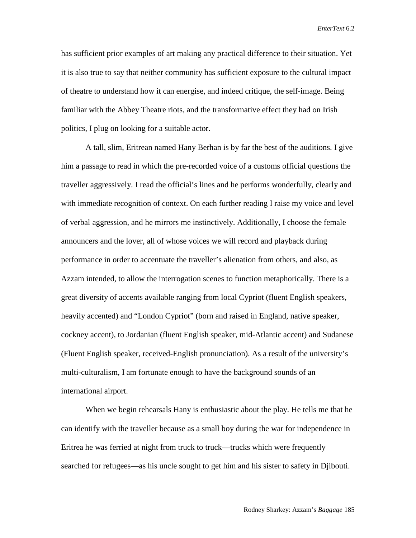has sufficient prior examples of art making any practical difference to their situation. Yet it is also true to say that neither community has sufficient exposure to the cultural impact of theatre to understand how it can energise, and indeed critique, the self-image. Being familiar with the Abbey Theatre riots, and the transformative effect they had on Irish politics, I plug on looking for a suitable actor.

<span id="page-3-0"></span>A tall, slim, Eritrean named Hany Berhan is by far the best of the auditions. I give him a passage to read in which the pre-recorded voice of a customs official questions the traveller aggressively. I read the official's lines and he performs wonderfully, clearly and with immediate recognition of context. On each further reading I raise my voice and level of verbal aggression, and he mirrors me instinctively. Additionally, I choose the female announcers and the lover, all of whose voices we will record and playback during performance in order to accentuate the traveller's alienation from others, and also, as Azzam intended, to allow the interrogation scenes to function metaphorically. There is a great diversity of accents available ranging from local Cypriot (fluent English speakers, heavily accented) and "London Cypriot" (born and raised in England, native speaker, cockney accent), to Jordanian (fluent English speaker, mid-Atlantic accent) and Sudanese (Fluent English speaker, received-English pronunciation). As a result of the university's multi-culturalism, I am fortunate enough to have the background sounds of an international airport.

When we begin rehearsals Hany is enthusiastic about the play. He tells me that he can identify with the traveller because as a small boy during the war for independence in Eritrea he was ferried at night from truck to truck—trucks which were frequently searched for refugees—as his uncle sought to get him and his sister to safety in Djibouti.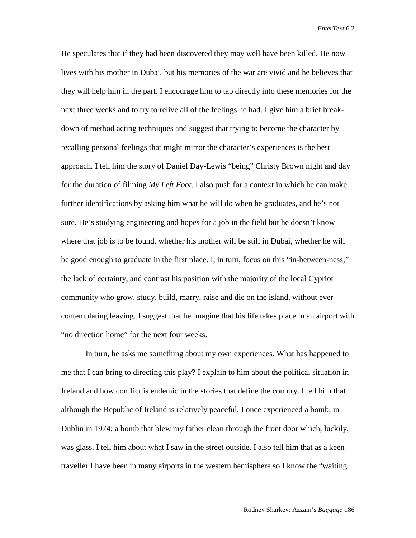He speculates that if they had been discovered they may well have been killed. He now lives with his mother in Dubai, but his memories of the war are vivid and he believes that they will help him in the part. I encourage him to tap directly into these memories for the next three weeks and to try to relive all of the feelings he had. I give him a brief breakdown of method acting techniques and suggest that trying to become the character by recalling personal feelings that might mirror the character's experiences is the best approach. I tell him the story of Daniel Day-Lewis "being" Christy Brown night and day for the duration of filming *My Left Foot*. I also push for a context in which he can make further identifications by asking him what he will do when he graduates, and he's not sure. He's studying engineering and hopes for a job in the field but he doesn't know where that job is to be found, whether his mother will be still in Dubai, whether he will be good enough to graduate in the first place. I, in turn, focus on this "in-between-ness," the lack of certainty, and contrast his position with the majority of the local Cypriot community who grow, study, build, marry, raise and die on the island, without ever contemplating leaving. I suggest that he imagine that his life takes place in an airport with "no direction home" for the next four weeks.

In turn, he asks me something about my own experiences. What has happened to me that I can bring to directing this play? I explain to him about the political situation in Ireland and how conflict is endemic in the stories that define the country. I tell him that although the Republic of Ireland is relatively peaceful, I once experienced a bomb, in Dublin in 1974; a bomb that blew my father clean through the front door which, luckily, was glass. I tell him about what I saw in the street outside. I also tell him that as a keen traveller I have been in many airports in the western hemisphere so I know the "waiting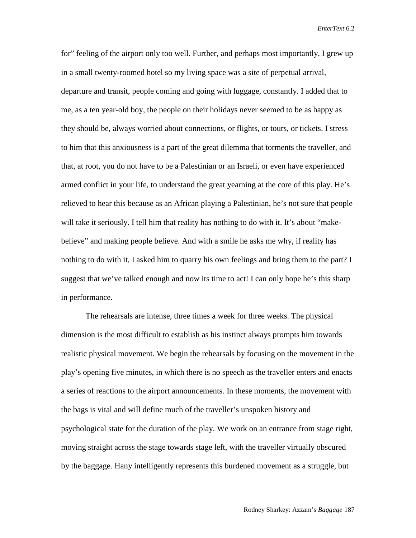for" feeling of the airport only too well. Further, and perhaps most importantly, I grew up in a small twenty-roomed hotel so my living space was a site of perpetual arrival, departure and transit, people coming and going with luggage, constantly. I added that to me, as a ten year-old boy, the people on their holidays never seemed to be as happy as they should be, always worried about connections, or flights, or tours, or tickets. I stress to him that this anxiousness is a part of the great dilemma that torments the traveller, and that, at root, you do not have to be a Palestinian or an Israeli, or even have experienced armed conflict in your life, to understand the great yearning at the core of this play. He's relieved to hear this because as an African playing a Palestinian, he's not sure that people will take it seriously. I tell him that reality has nothing to do with it. It's about "makebelieve" and making people believe. And with a smile he asks me why, if reality has nothing to do with it, I asked him to quarry his own feelings and bring them to the part? I suggest that we've talked enough and now its time to act! I can only hope he's this sharp in performance.

The rehearsals are intense, three times a week for three weeks. The physical dimension is the most difficult to establish as his instinct always prompts him towards realistic physical movement. We begin the rehearsals by focusing on the movement in the play's opening five minutes, in which there is no speech as the traveller enters and enacts a series of reactions to the airport announcements. In these moments, the movement with the bags is vital and will define much of the traveller's unspoken history and psychological state for the duration of the play. We work on an entrance from stage right, moving straight across the stage towards stage left, with the traveller virtually obscured by the baggage. Hany intelligently represents this burdened movement as a struggle, but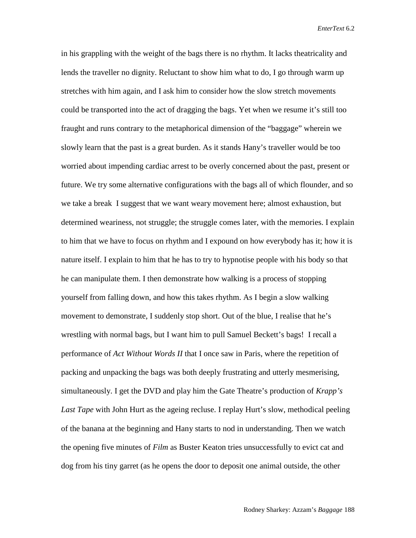in his grappling with the weight of the bags there is no rhythm. It lacks theatricality and lends the traveller no dignity. Reluctant to show him what to do, I go through warm up stretches with him again, and I ask him to consider how the slow stretch movements could be transported into the act of dragging the bags. Yet when we resume it's still too fraught and runs contrary to the metaphorical dimension of the "baggage" wherein we slowly learn that the past is a great burden. As it stands Hany's traveller would be too worried about impending cardiac arrest to be overly concerned about the past, present or future. We try some alternative configurations with the bags all of which flounder, and so we take a break I suggest that we want weary movement here; almost exhaustion, but determined weariness, not struggle; the struggle comes later, with the memories. I explain to him that we have to focus on rhythm and I expound on how everybody has it; how it is nature itself. I explain to him that he has to try to hypnotise people with his body so that he can manipulate them. I then demonstrate how walking is a process of stopping yourself from falling down, and how this takes rhythm. As I begin a slow walking movement to demonstrate, I suddenly stop short. Out of the blue, I realise that he's wrestling with normal bags, but I want him to pull Samuel Beckett's bags! I recall a performance of *Act Without Words II* that I once saw in Paris, where the repetition of packing and unpacking the bags was both deeply frustrating and utterly mesmerising, simultaneously. I get the DVD and play him the Gate Theatre's production of *Krapp's Last Tape* with John Hurt as the ageing recluse. I replay Hurt's slow, methodical peeling of the banana at the beginning and Hany starts to nod in understanding. Then we watch the opening five minutes of *Film* as Buster Keaton tries unsuccessfully to evict cat and dog from his tiny garret (as he opens the door to deposit one animal outside, the other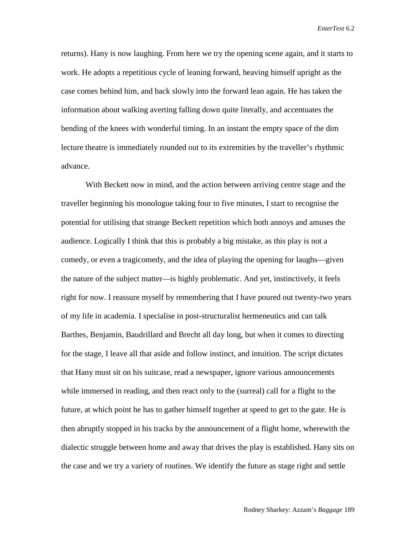returns). Hany is now laughing. From here we try the opening scene again, and it starts to work. He adopts a repetitious cycle of leaning forward, heaving himself upright as the case comes behind him, and back slowly into the forward lean again. He has taken the information about walking averting falling down quite literally, and accentuates the bending of the knees with wonderful timing. In an instant the empty space of the dim lecture theatre is immediately rounded out to its extremities by the traveller's rhythmic advance.

With Beckett now in mind, and the action between arriving centre stage and the traveller beginning his monologue taking four to five minutes, I start to recognise the potential for utilising that strange Beckett repetition which both annoys and amuses the audience. Logically I think that this is probably a big mistake, as this play is not a comedy, or even a tragicomedy, and the idea of playing the opening for laughs—given the nature of the subject matter—is highly problematic. And yet, instinctively, it feels right for now. I reassure myself by remembering that I have poured out twenty-two years of my life in academia. I specialise in post-structuralist hermeneutics and can talk Barthes, Benjamin, Baudrillard and Brecht all day long, but when it comes to directing for the stage, I leave all that aside and follow instinct, and intuition. The script dictates that Hany must sit on his suitcase, read a newspaper, ignore various announcements while immersed in reading, and then react only to the (surreal) call for a flight to the future, at which point he has to gather himself together at speed to get to the gate. He is then abruptly stopped in his tracks by the announcement of a flight home, wherewith the dialectic struggle between home and away that drives the play is established. Hany sits on the case and we try a variety of routines. We identify the future as stage right and settle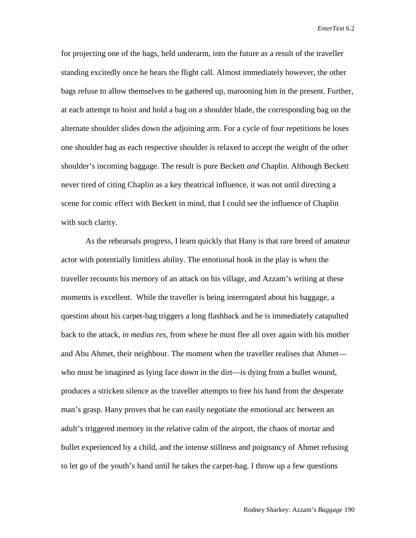for projecting one of the bags, held underarm, into the future as a result of the traveller standing excitedly once he hears the flight call. Almost immediately however, the other bags refuse to allow themselves to be gathered up, marooning him in the present. Further, at each attempt to hoist and hold a bag on a shoulder blade, the corresponding bag on the alternate shoulder slides down the adjoining arm. For a cycle of four repetitions he loses one shoulder bag as each respective shoulder is relaxed to accept the weight of the other shoulder's incoming baggage. The result is pure Beckett *and* Chaplin. Although Beckett never tired of citing Chaplin as a key theatrical influence, it was not until directing a scene for comic effect with Beckett in mind, that I could see the influence of Chaplin with such clarity.

As the rehearsals progress, I learn quickly that Hany is that rare breed of amateur actor with potentially limitless ability. The emotional hook in the play is when the traveller recounts his memory of an attack on his village, and Azzam's writing at these moments is excellent. While the traveller is being interrogated about his baggage, a question about his carpet-bag triggers a long flashback and he is immediately catapulted back to the attack, *in medias res*, from where he must flee all over again with his mother and Abu Ahmet, their neighbour. The moment when the traveller realises that Ahmet who must be imagined as lying face down in the dirt—is dying from a bullet wound, produces a stricken silence as the traveller attempts to free his hand from the desperate man's grasp. Hany proves that he can easily negotiate the emotional arc between an adult's triggered memory in the relative calm of the airport, the chaos of mortar and bullet experienced by a child, and the intense stillness and poignancy of Ahmet refusing to let go of the youth's hand until he takes the carpet-bag. I throw up a few questions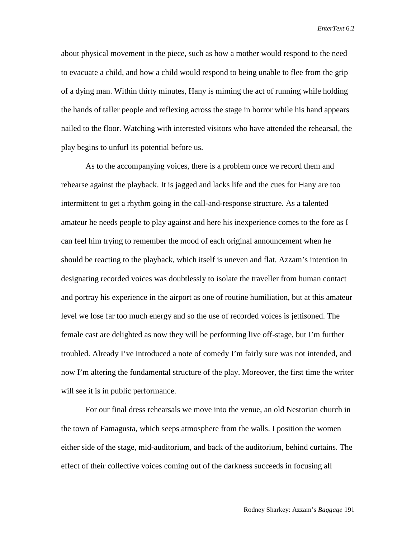about physical movement in the piece, such as how a mother would respond to the need to evacuate a child, and how a child would respond to being unable to flee from the grip of a dying man. Within thirty minutes, Hany is miming the act of running while holding the hands of taller people and reflexing across the stage in horror while his hand appears nailed to the floor. Watching with interested visitors who have attended the rehearsal, the play begins to unfurl its potential before us.

As to the accompanying voices, there is a problem once we record them and rehearse against the playback. It is jagged and lacks life and the cues for Hany are too intermittent to get a rhythm going in the call-and-response structure. As a talented amateur he needs people to play against and here his inexperience comes to the fore as I can feel him trying to remember the mood of each original announcement when he should be reacting to the playback, which itself is uneven and flat. Azzam's intention in designating recorded voices was doubtlessly to isolate the traveller from human contact and portray his experience in the airport as one of routine humiliation, but at this amateur level we lose far too much energy and so the use of recorded voices is jettisoned. The female cast are delighted as now they will be performing live off-stage, but I'm further troubled. Already I've introduced a note of comedy I'm fairly sure was not intended, and now I'm altering the fundamental structure of the play. Moreover, the first time the writer will see it is in public performance.

For our final dress rehearsals we move into the venue, an old Nestorian church in the town of Famagusta, which seeps atmosphere from the walls. I position the women either side of the stage, mid-auditorium, and back of the auditorium, behind curtains. The effect of their collective voices coming out of the darkness succeeds in focusing all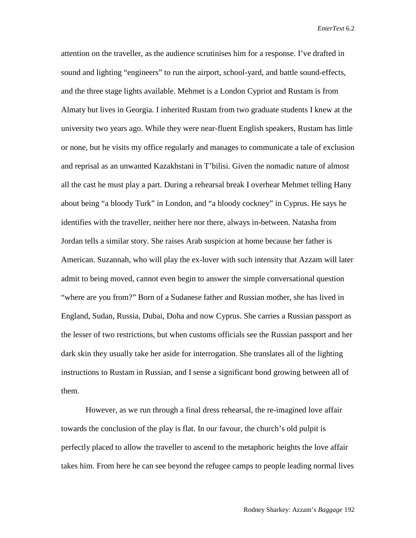attention on the traveller, as the audience scrutinises him for a response. I've drafted in sound and lighting "engineers" to run the airport, school-yard, and battle sound-effects, and the three stage lights available. Mehmet is a London Cypriot and Rustam is from Almaty but lives in Georgia. I inherited Rustam from two graduate students I knew at the university two years ago. While they were near-fluent English speakers, Rustam has little or none, but he visits my office regularly and manages to communicate a tale of exclusion and reprisal as an unwanted Kazakhstani in T'bilisi. Given the nomadic nature of almost all the cast he must play a part. During a rehearsal break I overhear Mehmet telling Hany about being "a bloody Turk" in London, and "a bloody cockney" in Cyprus. He says he identifies with the traveller, neither here nor there, always in-between. Natasha from Jordan tells a similar story. She raises Arab suspicion at home because her father is American. Suzannah, who will play the ex-lover with such intensity that Azzam will later admit to being moved, cannot even begin to answer the simple conversational question "where are you from?" Born of a Sudanese father and Russian mother, she has lived in England, Sudan, Russia, Dubai, Doha and now Cyprus. She carries a Russian passport as the lesser of two restrictions, but when customs officials see the Russian passport and her dark skin they usually take her aside for interrogation. She translates all of the lighting instructions to Rustam in Russian, and I sense a significant bond growing between all of them.

However, as we run through a final dress rehearsal, the re-imagined love affair towards the conclusion of the play is flat. In our favour, the church's old pulpit is perfectly placed to allow the traveller to ascend to the metaphoric heights the love affair takes him. From here he can see beyond the refugee camps to people leading normal lives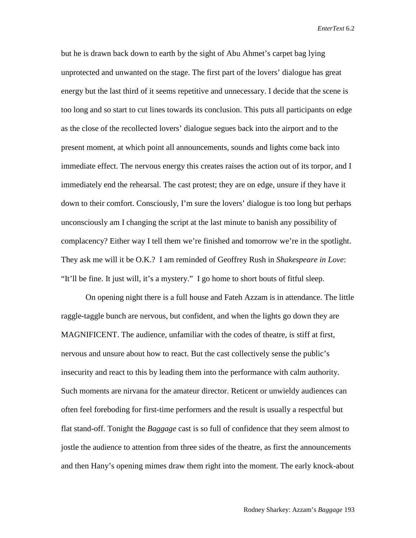but he is drawn back down to earth by the sight of Abu Ahmet's carpet bag lying unprotected and unwanted on the stage. The first part of the lovers' dialogue has great energy but the last third of it seems repetitive and unnecessary. I decide that the scene is too long and so start to cut lines towards its conclusion. This puts all participants on edge as the close of the recollected lovers' dialogue segues back into the airport and to the present moment, at which point all announcements, sounds and lights come back into immediate effect. The nervous energy this creates raises the action out of its torpor, and I immediately end the rehearsal. The cast protest; they are on edge, unsure if they have it down to their comfort. Consciously, I'm sure the lovers' dialogue is too long but perhaps unconsciously am I changing the script at the last minute to banish any possibility of complacency? Either way I tell them we're finished and tomorrow we're in the spotlight. They ask me will it be O.K.? I am reminded of Geoffrey Rush in *Shakespeare in Love*: "It'll be fine. It just will, it's a mystery." I go home to short bouts of fitful sleep.

On opening night there is a full house and Fateh Azzam is in attendance. The little raggle-taggle bunch are nervous, but confident, and when the lights go down they are MAGNIFICENT. The audience, unfamiliar with the codes of theatre, is stiff at first, nervous and unsure about how to react. But the cast collectively sense the public's insecurity and react to this by leading them into the performance with calm authority. Such moments are nirvana for the amateur director. Reticent or unwieldy audiences can often feel foreboding for first-time performers and the result is usually a respectful but flat stand-off. Tonight the *Baggage* cast is so full of confidence that they seem almost to jostle the audience to attention from three sides of the theatre, as first the announcements and then Hany's opening mimes draw them right into the moment. The early knock-about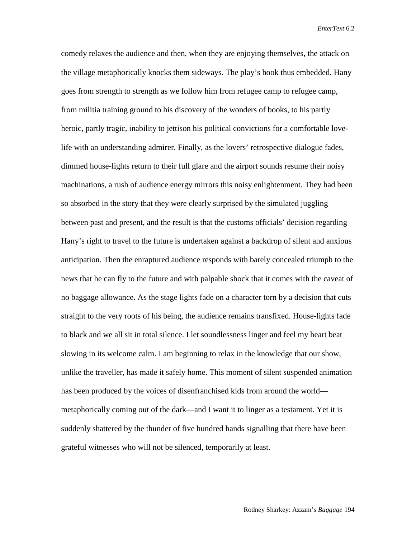comedy relaxes the audience and then, when they are enjoying themselves, the attack on the village metaphorically knocks them sideways. The play's hook thus embedded, Hany goes from strength to strength as we follow him from refugee camp to refugee camp, from militia training ground to his discovery of the wonders of books, to his partly heroic, partly tragic, inability to jettison his political convictions for a comfortable lovelife with an understanding admirer. Finally, as the lovers' retrospective dialogue fades, dimmed house-lights return to their full glare and the airport sounds resume their noisy machinations, a rush of audience energy mirrors this noisy enlightenment. They had been so absorbed in the story that they were clearly surprised by the simulated juggling between past and present, and the result is that the customs officials' decision regarding Hany's right to travel to the future is undertaken against a backdrop of silent and anxious anticipation. Then the enraptured audience responds with barely concealed triumph to the news that he can fly to the future and with palpable shock that it comes with the caveat of no baggage allowance. As the stage lights fade on a character torn by a decision that cuts straight to the very roots of his being, the audience remains transfixed. House-lights fade to black and we all sit in total silence. I let soundlessness linger and feel my heart beat slowing in its welcome calm. I am beginning to relax in the knowledge that our show, unlike the traveller, has made it safely home. This moment of silent suspended animation has been produced by the voices of disenfranchised kids from around the world metaphorically coming out of the dark—and I want it to linger as a testament. Yet it is suddenly shattered by the thunder of five hundred hands signalling that there have been grateful witnesses who will not be silenced, temporarily at least.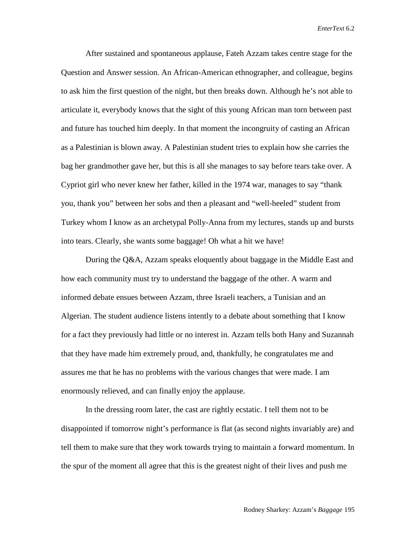After sustained and spontaneous applause, Fateh Azzam takes centre stage for the Question and Answer session. An African-American ethnographer, and colleague, begins to ask him the first question of the night, but then breaks down. Although he's not able to articulate it, everybody knows that the sight of this young African man torn between past and future has touched him deeply. In that moment the incongruity of casting an African as a Palestinian is blown away. A Palestinian student tries to explain how she carries the bag her grandmother gave her, but this is all she manages to say before tears take over. A Cypriot girl who never knew her father, killed in the 1974 war, manages to say "thank you, thank you" between her sobs and then a pleasant and "well-heeled" student from Turkey whom I know as an archetypal Polly-Anna from my lectures, stands up and bursts into tears. Clearly, she wants some baggage! Oh what a hit we have!

During the Q&A, Azzam speaks eloquently about baggage in the Middle East and how each community must try to understand the baggage of the other. A warm and informed debate ensues between Azzam, three Israeli teachers, a Tunisian and an Algerian. The student audience listens intently to a debate about something that I know for a fact they previously had little or no interest in. Azzam tells both Hany and Suzannah that they have made him extremely proud, and, thankfully, he congratulates me and assures me that he has no problems with the various changes that were made. I am enormously relieved, and can finally enjoy the applause.

In the dressing room later, the cast are rightly ecstatic. I tell them not to be disappointed if tomorrow night's performance is flat (as second nights invariably are) and tell them to make sure that they work towards trying to maintain a forward momentum. In the spur of the moment all agree that this is the greatest night of their lives and push me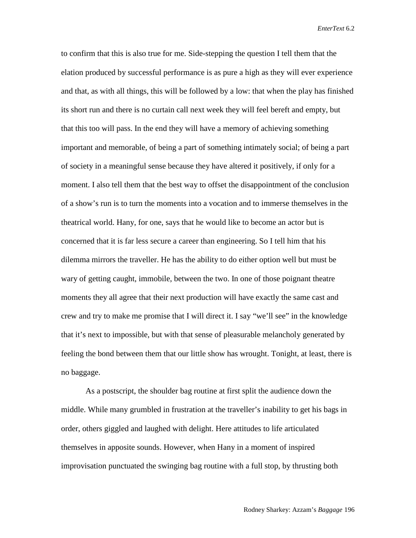to confirm that this is also true for me. Side-stepping the question I tell them that the elation produced by successful performance is as pure a high as they will ever experience and that, as with all things, this will be followed by a low: that when the play has finished its short run and there is no curtain call next week they will feel bereft and empty, but that this too will pass. In the end they will have a memory of achieving something important and memorable, of being a part of something intimately social; of being a part of society in a meaningful sense because they have altered it positively, if only for a moment. I also tell them that the best way to offset the disappointment of the conclusion of a show's run is to turn the moments into a vocation and to immerse themselves in the theatrical world. Hany, for one, says that he would like to become an actor but is concerned that it is far less secure a career than engineering. So I tell him that his dilemma mirrors the traveller. He has the ability to do either option well but must be wary of getting caught, immobile, between the two. In one of those poignant theatre moments they all agree that their next production will have exactly the same cast and crew and try to make me promise that I will direct it. I say "we'll see" in the knowledge that it's next to impossible, but with that sense of pleasurable melancholy generated by feeling the bond between them that our little show has wrought. Tonight, at least, there is no baggage.

As a postscript, the shoulder bag routine at first split the audience down the middle. While many grumbled in frustration at the traveller's inability to get his bags in order, others giggled and laughed with delight. Here attitudes to life articulated themselves in apposite sounds. However, when Hany in a moment of inspired improvisation punctuated the swinging bag routine with a full stop, by thrusting both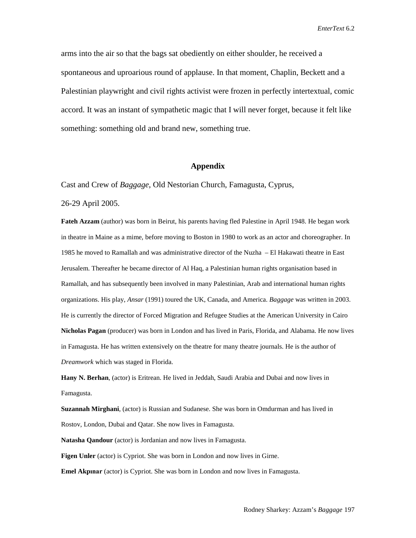arms into the air so that the bags sat obediently on either shoulder, he received a spontaneous and uproarious round of applause. In that moment, Chaplin, Beckett and a Palestinian playwright and civil rights activist were frozen in perfectly intertextual, comic accord. It was an instant of sympathetic magic that I will never forget, because it felt like something: something old and brand new, something true.

#### **Appendix**

Cast and Crew of *Baggage*, Old Nestorian Church, Famagusta, Cyprus,

26-29 April 2005.

**Fateh Azzam** (author) was born in Beirut, his parents having fled Palestine in April 1948. He began work in theatre in Maine as a mime, before moving to Boston in 1980 to work as an actor and choreographer. In 1985 he moved to Ramallah and was administrative director of the Nuzha – El Hakawati theatre in East Jerusalem. Thereafter he became director of Al Haq, a Palestinian human rights organisation based in Ramallah, and has subsequently been involved in many Palestinian, Arab and international human rights organizations. His play, *Ansar* (1991) toured the UK, Canada, and America. *Baggage* was written in 2003. He is currently the director of Forced Migration and Refugee Studies at the American University in Cairo **Nicholas Pagan** (producer) was born in London and has lived in Paris, Florida, and Alabama. He now lives in Famagusta. He has written extensively on the theatre for many theatre journals. He is the author of *Dreamwork* which was staged in Florida.

**Hany N. Berhan**, (actor) is Eritrean. He lived in Jeddah, Saudi Arabia and Dubai and now lives in Famagusta.

**Suzannah Mirghani**, (actor) is Russian and Sudanese. She was born in Omdurman and has lived in Rostov, London, Dubai and Qatar. She now lives in Famagusta.

**Natasha Qandour** (actor) is Jordanian and now lives in Famagusta.

**Figen Unler** (actor) is Cypriot. She was born in London and now lives in Girne.

**Emel Akpınar** (actor) is Cypriot. She was born in London and now lives in Famagusta.